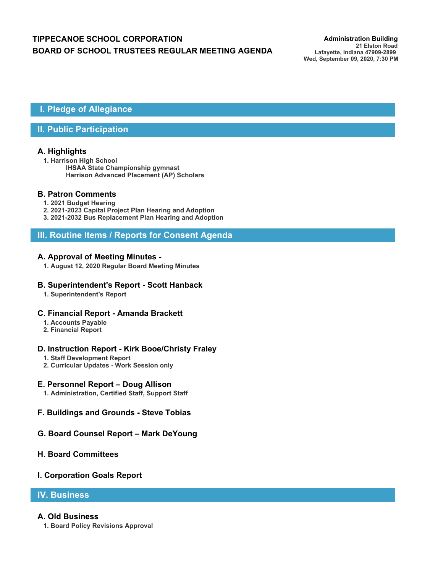# **TIPPECANOE SCHOOL CORPORATION** *Administration Building* **BOARD OF SCHOOL TRUSTEES REGULAR MEETING AGENDA**

## **I. Pledge of Allegiance**

## **II. Public Participation**

## **A. Highlights**

**1. Harrison High School IHSAA State Championship gymnast Harrison Advanced Placement (AP) Scholars**

## **B. Patron Comments**

- **1. 2021 Budget Hearing**
- **2. 2021-2023 Capital Project Plan Hearing and Adoption**
- **3. 2021-2032 Bus Replacement Plan Hearing and Adoption**

## **III. Routine Items / Reports for Consent Agenda**

### **A. Approval of Meeting Minutes -**

**1. August 12, 2020 Regular Board Meeting Minutes**

### **B. Superintendent's Report - Scott Hanback**

**1. Superintendent's Report**

#### **C. Financial Report - Amanda Brackett**

- **1. Accounts Payable**
- **2. Financial Report**

## **D. Instruction Report - Kirk Booe/Christy Fraley**

- **1. Staff Development Report**
- **2. Curricular Updates Work Session only**

#### **E. Personnel Report – Doug Allison**

- **1. Administration, Certified Staff, Support Staff**
- **F. Buildings and Grounds Steve Tobias**

## **G. Board Counsel Report – Mark DeYoung**

## **H. Board Committees**

#### **I. Corporation Goals Report**

## **IV. Business**

#### **A. Old Business**

**1. Board Policy Revisions Approval**